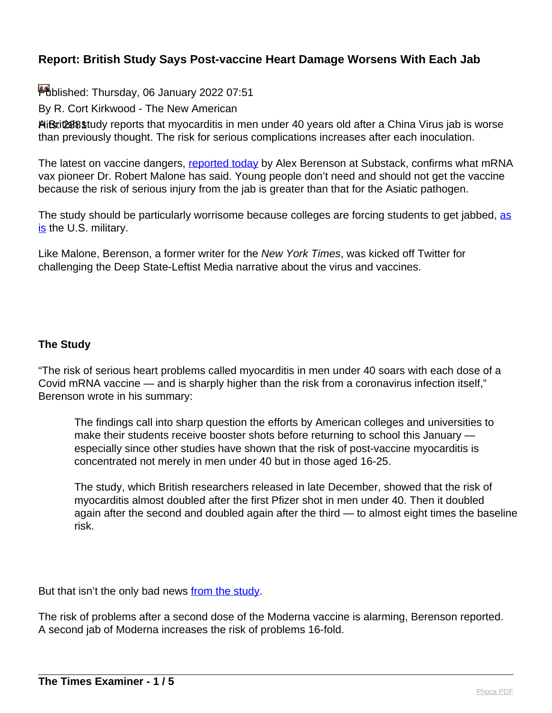Published: Thursday, 06 January 2022 07:51

By R. Cort Kirkwood - The New American

A Britust study reports that myocarditis in men under 40 years old after a China Virus jab is worse than previously thought. The risk for serious complications increases after each inoculation.

The latest on vaccine dangers, [reported today](https://alexberenson.substack.com/p/more-bad-news-on-covid-vaccines-and/comments?fbclid=IwAR0MiQXp7E51bdFL06vZTxk6KuYiKjbnjR6YA9q8NlfV_T7G5ULjtd8Kaj8) by Alex Berenson at Substack, confirms what mRNA vax pioneer Dr. Robert Malone has said. Young people don't need and should not get the vaccine because the risk of serious injury from the jab is greater than that for the Asiatic pathogen.

The study should be particularly worrisome because colleges are forcing students to get jabbed, [as](https://www.military.com/daily-news/2021/07/29/biden-orders-military-move-toward-mandatory-covid-vaccine.html) [is](https://www.military.com/daily-news/2021/07/29/biden-orders-military-move-toward-mandatory-covid-vaccine.html) the U.S. military.

Like Malone, Berenson, a former writer for the New York Times, was kicked off Twitter for challenging the Deep State-Leftist Media narrative about the virus and vaccines.

### **The Study**

"The risk of serious heart problems called myocarditis in men under 40 soars with each dose of a Covid mRNA vaccine — and is sharply higher than the risk from a coronavirus infection itself," Berenson wrote in his summary:

The findings call into sharp question the efforts by American colleges and universities to make their students receive booster shots before returning to school this January especially since other studies have shown that the risk of post-vaccine myocarditis is concentrated not merely in men under 40 but in those aged 16-25.

The study, which British researchers released in late December, showed that the risk of myocarditis almost doubled after the first Pfizer shot in men under 40. Then it doubled again after the second and doubled again after the third — to almost eight times the baseline risk.

But that isn't the only bad news [from the study.](https://www.medrxiv.org/content/10.1101/2021.12.23.21268276v1.full-text)

The risk of problems after a second dose of the Moderna vaccine is alarming, Berenson reported. A second jab of Moderna increases the risk of problems 16-fold.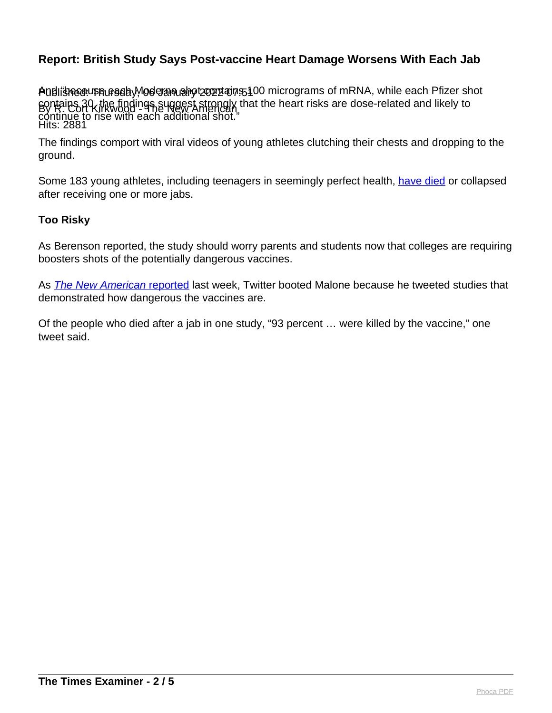Andlishesau prufagahy oderna shot շարձար 5100 micrograms of mRNA, while each Pfizer shot By R. Cort Kirkwood - The New American Hits: 2881 contains 30, the findings suggest strongly that the heart risks are dose-related and likely to continue to rise with each additional shot."

The findings comport with viral videos of young athletes clutching their chests and dropping to the ground.

Some 183 young athletes, including teenagers in seemingly perfect health, [have died](https://thenewamerican.com/183-athletes-and-counting-dead-after-virus-jab-virus-runs-wild-on-97-vaxxed-cornell-campus/) or collapsed after receiving one or more jabs.

#### **Too Risky**

As Berenson reported, the study should worry parents and students now that colleges are requiring boosters shots of the potentially dangerous vaccines.

As **[The New American](https://thenewamerican.com/twitter-deep-sixes-mrna-vax-pioneer-malone-one-too-many-tweets-one-too-many-truths/) reported** last week, Twitter booted Malone because he tweeted studies that demonstrated how dangerous the vaccines are.

Of the people who died after a jab in one study, "93 percent … were killed by the vaccine," one tweet said.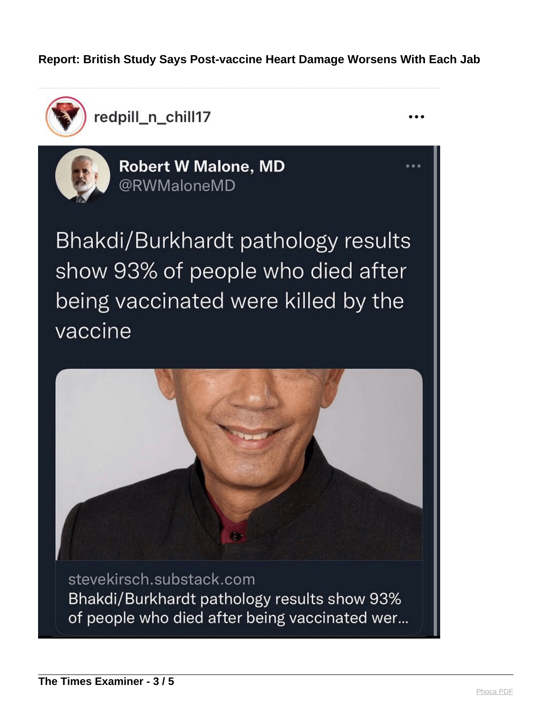redpill\_n\_chill17  $\sqrt{28}$ 

Published: Thursday, 06 January 2022 07:51



**Robert W Malone, MD** @RWMaloneMD

Bhakdi/Burkhardt pathology results show 93% of people who died after being vaccinated were killed by the vaccine



stevekirsch.substack.com Bhakdi/Burkhardt pathology results show 93% of people who died after being vaccinated wer...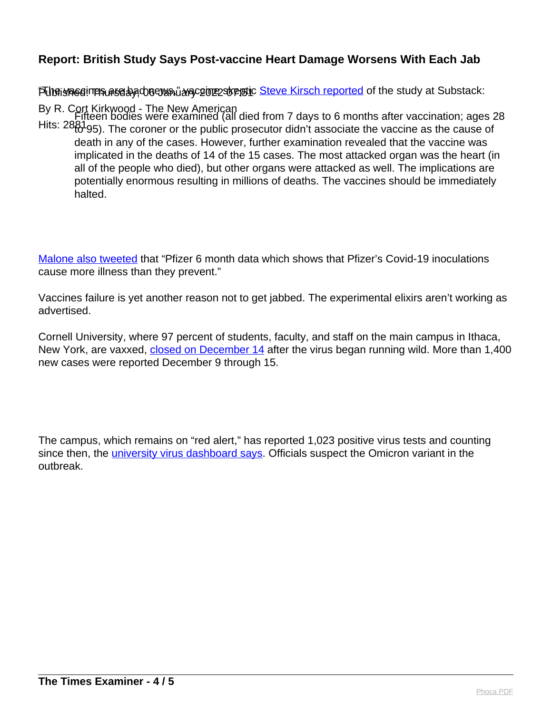Fubaiงครอยการจะตอง ส่วนออนของ พลาย 2022 2022 2022 10 [Steve Kirsch reported](https://stevekirsch.substack.com/p/bhakdiburkhardt-pathology-results) of the study at Substack:

By R. Cort Kirkwood - The New American Hits: 2881930. The coroner or the public prosecutor didn't associate the vaccine as the cause of Fifteen bodies were examined (all died from 7 days to 6 months after vaccination; ages 28 death in any of the cases. However, further examination revealed that the vaccine was implicated in the deaths of 14 of the 15 cases. The most attacked organ was the heart (in all of the people who died), but other organs were attacked as well. The implications are potentially enormous resulting in millions of deaths. The vaccines should be immediately halted.

[Malone also tweeted](https://thenewamerican.com/youtube-tries-censoring-rogan-interview-with-mrna-pioneer-malone/) that "Pfizer 6 month data which shows that Pfizer's Covid-19 inoculations cause more illness than they prevent."

Vaccines failure is yet another reason not to get jabbed. The experimental elixirs aren't working as advertised.

Cornell University, where 97 percent of students, faculty, and staff on the main campus in Ithaca, New York, are vaxxed, [closed on December 14](https://statements.cornell.edu/2021/20211214-LTBmB1-ithaca-alert.cfm) after the virus began running wild. More than 1,400 new cases were reported December 9 through 15.

The campus, which remains on "red alert," has reported 1,023 positive virus tests and counting since then, the *[university virus dashboard says](https://covid.cornell.edu/testing/dashboard/)*. Officials suspect the Omicron variant in the outbreak.